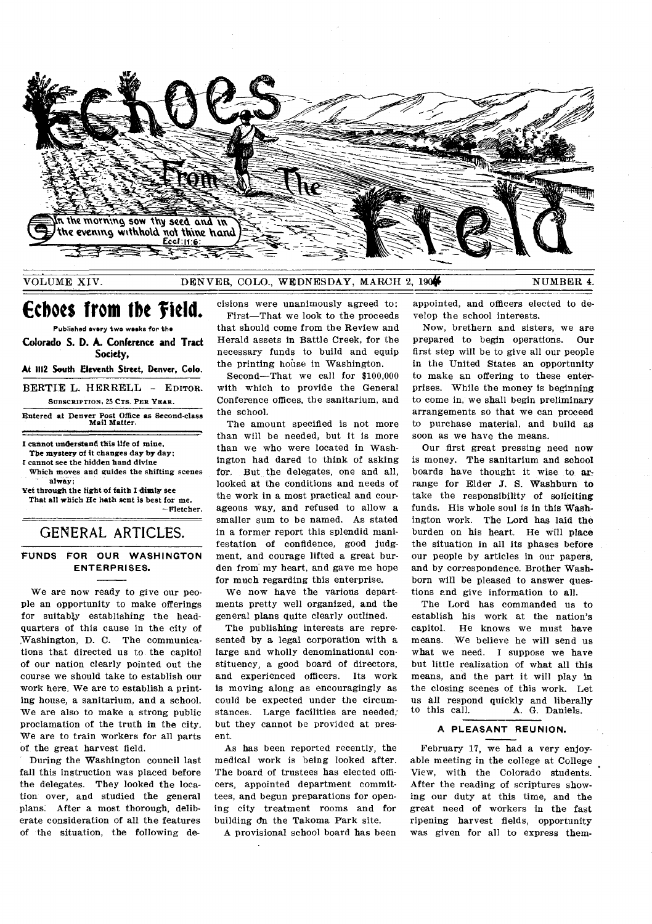

# VOLUME XIV. DENVER, COLO., WEDNESDAY, MARCH 2, 190<sup>4</sup> NUMBER 4.

# **Echoes from the**

Published every two weeks for the **Colorado S. D. A. Conference and Tract** 

**Society, At 1112 South Eleventh Street, Denver, Colo.** 

BERTIE L. HERRELL - EDITOR. SUBSCRIPTION, 25 CTS. PER YEAR. Entered at Denver Post Office as Second-class Mail Matter.

I cannot understand this life of mine, The mystery of it changes day by day;

I cannot see the hidden hand divine Which moves and guides the shifting scenes

alway; Yet through the light of faith I dimly see

That all which He hath sent is best for me. — Pletcher.

GENERAL ARTICLES.

## **FUNDS FOR OUR WASHINGTON ENTERPRISES.**

We are now ready to give our people an opportunity to make offerings for suitably establishing the headquarters of this cause in the city of Washington, D. C. The communications that directed us to the capitol of our nation clearly pointed out the course we should take to establish our work here. We are to establish a printing house, a sanitarium, and a school. We are also to make a strong public proclamation of the truth in the city. We are to train workers for all parts of the great harvest field.

During the Washington council last fall this instruction was placed before the delegates. They looked the location over, and studied the general plans. After a most thorough, deliberate consideration of all the features of the situation, the following decisions were unanimously agreed to: First—That we look to the proceeds that should come from the Review and Herald assets in Battle Creek, for the necessary funds to build and equip the printing house in Washington.

Second—That we call for \$100,000 with which to provide the General Conference offices, the sanitarium, and the school.

The amount specified is not more than will be needed, but it is more than we who were located in Washington had dared to think of asking for. But the delegates, one and all, looked at the conditions and needs of the work in a most practical and courageous way, and refused to allow a smaller sum to be named. As stated in a former report this splendid manifestation of confidence, good judgment, and courage lifted a great burden from my heart, and gave me hope for much regarding this enterprise.

We now have the various departments pretty well organized, and the general plans quite clearly outlined.

The publishing interests are represented by a legal corporation with a large and wholly denominational constituency, a good board of directors, and experienced officers. Its work is moving along as encouragingly as could be expected under the circumstances. Large facilities are needed; but they cannot be provided at present.

As has been reported recently, the medical work is being looked after. The board of trustees has elected officers, appointed department committees, and begun preparations for opening city treatment rooms and for building on the Takoma Park site.

A provisional school board has been

appointed, and officers elected to develop the school interests.

Now, brethern and sisters, we are prepared to begin operations. Our first step will be to give all our people in the United States an opportunity to make an offering to these enterprises. While the money is beginning to come in, we shall begin preliminary arrangements so that we can proceed to purchase material, and build as soon as we have the means.

Our first great pressing need now is money. The sanitarium and school boards have thought it wise to arrange for Elder J. S. Washburn to take the responsibility of soliciting funds, His whole soul is in this Washington work. The Lord has laid the burden on his heart. He will place the situation in all its phases before our people by articles in our papers, and by correspondence. Brother Washborn will be pleased to answer questions end give information to all.

The Lord has commanded us to establish his work at the nation's capitol. He knows we must have means. We believe he will send us what we need. I suppose we have but little realization of what all this means, and the part it will play in the closing scenes of this work. Let us all respond quickly and liberally<br>to this call.  $\overline{A}$  G Daniels A. G. Daniels.

# **A PLEASANT REUNION.**

February 17, we had a very enjoyable meeting in the college at College View, with the Colorado students. After the reading of scriptures showing our duty at this time, and the great need of workers in the fast ripening harvest fields, opportunity was given for all to express them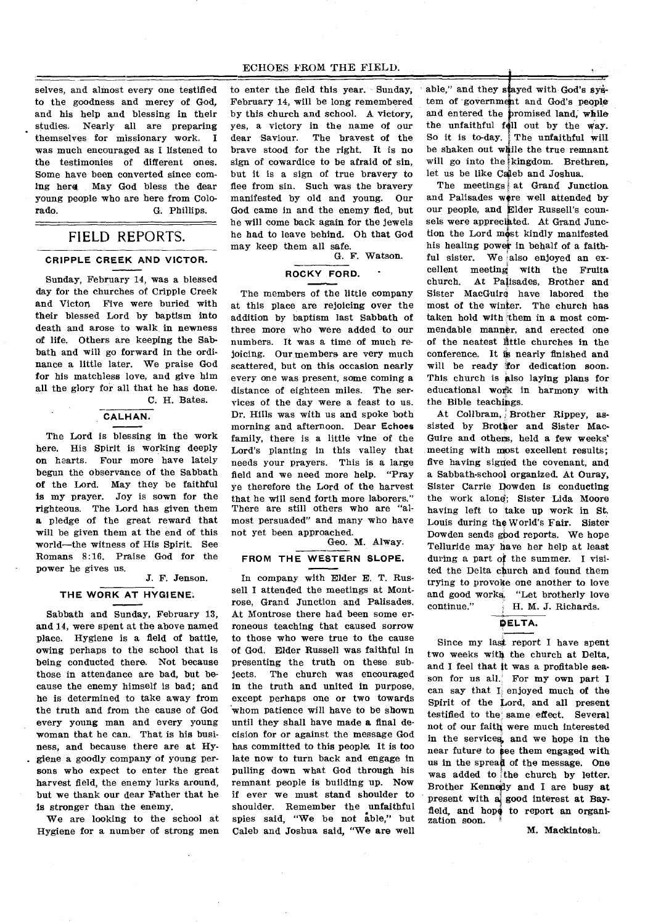selves, and almost every one testified to enter the field this year. Sunday, able," and they stayed with God's systo the goodness and mercy of God, February 14, will be long remembered tem of government and God's people and his help and blessing in their by this church and school. A victory, and entered the promised land, while studies. Nearly all are preparing themselves for missionary work. I was much encouraged as I listened to the testimonies of different ones. Some have been converted since coming here May God bless the dear young people who are here from Colorado. G. Phillips.

# FIELD REPORTS.

### **CRIPPLE CREEK AND VICTOR.**

Sunday, February 14, was a blessed day for the churches of Cripple Creek and Victor, Five were buried with their blessed Lord by baptism into death and arose to walk in newness of life. Others are keeping the Sabbath and will go forward in the ordinance a little later. We praise God for his matchless love, and give him all the glory for all that he has done. C. H. Bates.

### **CALHAN.**

The Lord is blessing in the work here. His Spirit is working deeply on hearts. Four more have lately begun the observance of the Sabbath of the Lord. May they be faithful is my prayer. Joy is sown for the righteous. The Lord has given them a pledge of the great reward that will be given them at the end of this world—the witness of His Spirit. See Romans 8:16. Praise God for the power he gives us.

### J. F. Jenson.

### **THE WORK AT HYGIENE.**

Sabbath and Sunday, February 13, and 14, were spent at the above named place. Hygiene is a field of battle, owing perhaps to the school that is being conducted there. Not because those in attendance are bad, but because the enemy himself is bad; and he is determined to take away from the truth and from the cause of God every young man and every young woman that he can. That is his business, and because there are at Hygiene a goodly company of young persons who expect to enter the great harvest field, the enemy lurks around, but we thank our dear Father that he Is stronger than the enemy.

We are looking to the school at Hygiene for a number of strong men yes, a victory in the name of our dear Saviour. The bravest of the brave stood for the right. It is no sign of cowardice to be afraid of sin, but it is a sign of true bravery to flee from sin. Such was the bravery manifested by old and young. Our God came in and the enemy fled, but he will come back again for the jewels he had to leave behind. Oh that God may keep them all safe.

G. F. Watson.

# **ROCKY FORD.**

The members of the little company at this place are rejoicing over the addition by baptism last Sabbath of three more who were added to our numbers. It was a time of much rejoicing. Our members are very much scattered, but on this occasion nearly every one was present, some coming a distance of eighteen miles. The services of the day were a feast to us. Dr. Hills was with us and spoke both morning and afternoon. Dear **Echoes**  family, there is a little vine of the Lord's planting in this valley that needs your prayers. This is a large field and we need more help. "Pray ye therefore the Lord of the harvest that he will send forth more laborers." There are still others who are "almost persuaded" and many who have not yet been approached.

### Geo. M. Alway.

### **FROM THE WESTERN SLOPE.**

In company with Elder E. T. Russell I attended the meetings at Montrose, Grand Junction and Palisades. At Montrose there had been some erroneous teaching that caused sorrow to those who were true to the cause of God. Elder Russell was faithful in presenting the truth on these sub-<br>jects. The church was encouraged The church was encouraged in the truth and united in purpose, except perhaps one or two towards whom patience will have to be shown until they shall have made a final decision for or against the message God has committed to this peoples It is too late now to turn back and engage in pulling down what God through his remnant people is building up. Now if ever we must stand shoulder to shoulder. Remember the unfaithful spies said, "We be not able," but Caleb and Joshua said, "We are well the unfaithful foil out by the way. So it is to-day. The unfaithful will be shaken out while the true remnant will go into the kingdom. Brethren, let us be like Caleb and Joshua.

The meetings  $\frac{1}{k}$  at Grand Junction and Palisades were well attended by our people, and Elder Russell's counsels were appreciated. At Grand Junction the Lord most kindly manifested his healing power in behalf of a faithful sister. We also enjoyed an excellent meeting with the Fruita church. At Palisades, Brother and Sister MacGuire have labored the most of the winter. The church has taken hold with 'them in a most commendable manner, and erected one of the neatest little churches in the conference. It is nearly finished and will be ready "for dedication soon. This church is also laying plans for educational work in harmony with the Bible teachings.

At Collbram, ; Brother Rippey, assisted by Brother and Sister Mac-Guire and others, held a few weeks' meeting with most excellent results; five having signed the covenant, and a Sabbath-school organized. At Ouray, Sister Carrie Dowden is conducting the work alone; Sister Lida Moore having left to take up work in St. Louis during the World's Fair. Sister Dowden sends gbod reports. We hope Telluride may have her help at least during a part of the summer. I visited the Delta church and found them trying to provoke one another to love and good works. "Let brotherly love continue." H. M. J. Richards.

# **DELTA.**

Since my last report I have spent two weeks with the church at Delta, and I feel that it was a profitable season for us all. For my own part I can say that  $I_i$  enjoyed much of the Spirit of the Lord, and all present testified to the same effect. Several not of our faith were much interested in the services, and we hope in the near future to see them engaged with us in the spread of the message. One was added to the church by letter. Brother Kennedy and I are busy at present with  $a_i$  good interest at Bayfield, and hope to report an organization soon.

M. Mackintosh.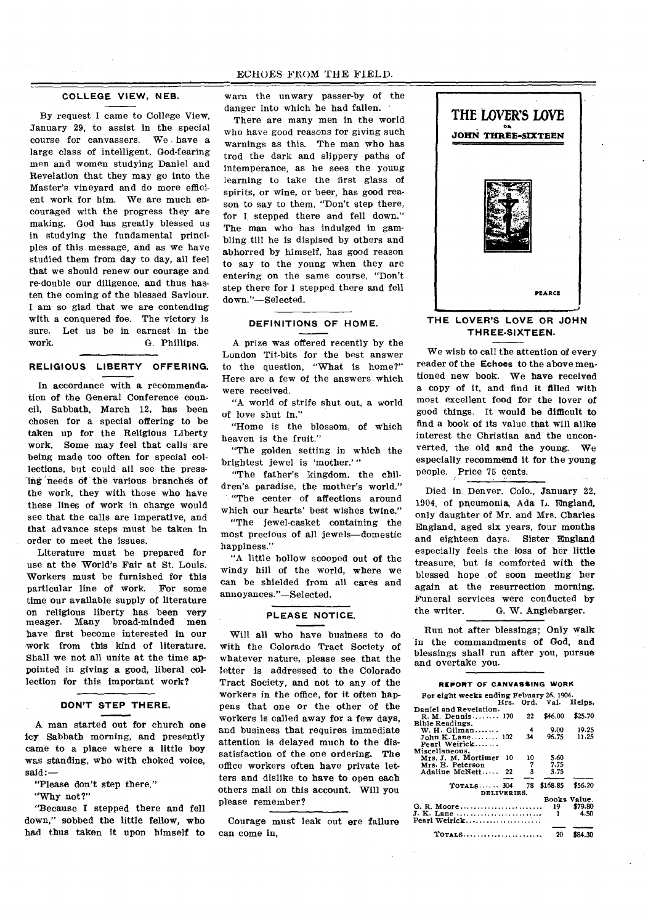# ECHOES FROM THE FIELD.

### **COLLEGE VIEW, NEB.**

By request I came to College View, January 29, to assist in the special course for canvassers. We have a large class of intelligent, God-fearing men and women studying Daniel and Revelation that they may go into the Master's vineyard and do more efficient work for him. We are much encouraged with the progress they are making. God has greatly blessed us in studying the fundamental principles of this message, and as we have studied them from day to day, all feel that we should renew our courage and re-double our diligence, and thus hasten the coming of the blessed Saviour. I am so glad that we are contending with a conquered foe. The victory is sure. Let us be in earnest in the work.  $\qquad$  G. Phillips. G. Phillips.

## **RELIGIOUS LIBERTY OFFERING.**

In accordance with a recommendation of the General Conference council, Sabbath, March 12, has been chosen for a special offering to be taken up for the Religious Liberty work. Some may feel that calls are being made too often for special collections, but could all see the pressing needs of the various branches of the work, they with those who have these lines of work in charge would see that the calls are imperative, and that advance steps must be taken in order to meet the issues.

Literature must be prepared for use at the World's Fair at St. Louis. Workers must be furnished for this particular line of work. For some time our available supply of literature on religious liberty has been very<br>meager. Many broad-minded men meager. Many have first become interested in our work from this kind of literature. Shall we not all unite at the time appointed in giving a good, liberal collection for this important work?

### **DON'T STEP THERE.**

A man started out for church one icy Sabbath morning, and presently came to a place where a little boy was standing, who with choked voice, said:—

- "Please don't step there."
- "Why not?"

"Because I stepped there and fell down," sobbed the little fellow, who had thus taken it upon himself to

warn the unwary passer-by of the danger into which he had fallen.

There are many men in the world who have good reasons for giving such warnings as this. The man who has trod the dark and slippery paths of intemperance, as he sees the young learning to take the first glass of spirits, or wine, or beer, has good reason to say to them, "Don't step there, for I stepped there and fell down." The man who has indulged in gambling till he is dispised by others and abhorred by himself, has good reason to say to the young when they are entering on the same course, "Don't step there for I stepped there and fell down."—Selected.

### **DEFINITIONS OF HOME.**

A prize was offered recently by the London Tit-bits for the best answer to the question, "What is home?" Here are a few of the answers which were received.

"A world of strife shut out, a world of love shut in."

"Home is the blossom, of which heaven is the fruit."

"The golden setting in which the brightest jewel is 'mother.' "

"The father's kingdom, the children's paradise, the mother's world." "The center of affections around which our hearts' best wishes twine."

"The jewel-casket containing the most precious of all jewels—domestic happiness."

"A little hollow scooped out of the windy hill of the world, where we can be shielded from all cares and annoyances."—Selected.

### **PLEASE NOTICE.**

Will all who have business to do with the Colorado Tract Society of whatever nature, please see that the letter is addressed to the Colorado Tract Society, and not to any of the workers in the office, for it often happens that one or the other of the workers is called away for a few days, and business that requires immediate attention is delayed much to the dissatisfaction of the one ordering. The office workers often have private letters and dislike to have to open each others mail on this account. Will you please remember?

Courage must leak out ere failure can come in,



### **THE LOVER'S LOVE OR JOHN THREE-SIXTEEN.**

We wish to call the attention of every reader of the **Echoes** to the above mentioned new book. We have received a copy of it, and find it filled with most excellent food for the lover of good things. It would be difficult to find a book of its value that will alike interest the Christian and the unconverted, the old and the young. We especially recommend it for the young people. Price 75 cents.

Died in Denver, Colo., January 22, 1904, of pneumonia, Ada L. England, only daughter of Mr. and Mrs. Charles England, aged six years, four months and eighteen days. Sister England especially feels the loss of her little treasure, but is comforted with the blessed hope of soon meeting her again at the resurrection morning. Funeral services were conducted by the writer. G. W. Anglebarger.

Run not after blessings; Only walk in the commandments of God, **and**  blessings shall run after you, pursue and overtake you.

#### **REPORT OF CANVASSING WORK**

| For eight weeks ending Febuary 26, 1904. |      |    | Hrs. Ord. Val. Helps. |              |
|------------------------------------------|------|----|-----------------------|--------------|
| Daniel and Revelation.                   |      |    |                       |              |
|                                          |      |    | \$46.00               | \$25.70      |
| R. M. Dennis 170                         |      | 22 |                       |              |
| Bible Readings.                          |      |    |                       |              |
| W. H. Gilman                             |      | 4  | 9.00                  | 19.25        |
| John K. Lane 102                         |      | 34 | 96.75                 | 11.25        |
| Pearl Weirick                            |      |    |                       |              |
| Miscellaneous.                           |      |    |                       |              |
| Mrs. J. M. Mortimer                      | - 10 | 10 | 5.60                  |              |
| Mrs. E. Peterson                         |      |    | 7.75                  |              |
| Adaline McNett 22                        |      | 3  | 3.75                  |              |
|                                          |      |    |                       |              |
|                                          |      |    |                       |              |
| $T$ OTALS $304$                          |      | 78 | \$168.85              | \$56.20      |
| DELIVERIES.                              |      |    |                       |              |
|                                          |      |    |                       | Books Value. |
| G. R. Moore                              |      |    | 19.                   | \$79.80      |
| J. K. Lane                               |      |    | 1                     | 4.50         |
|                                          |      |    |                       |              |
|                                          |      |    |                       |              |
| $T$ otals                                |      |    | 20                    |              |